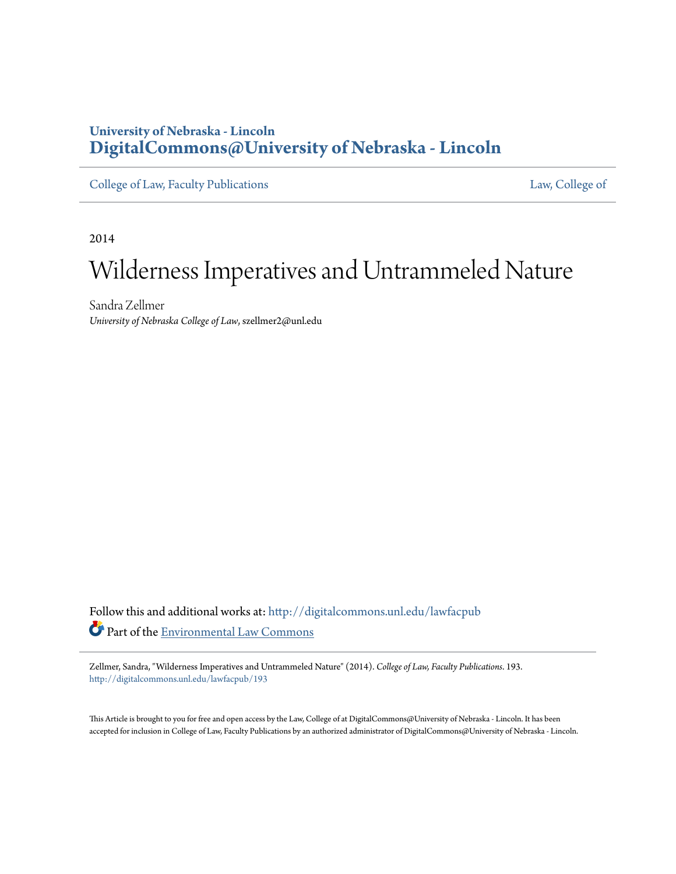# **University of Nebraska - Lincoln [DigitalCommons@University of Nebraska - Lincoln](http://digitalcommons.unl.edu?utm_source=digitalcommons.unl.edu%2Flawfacpub%2F193&utm_medium=PDF&utm_campaign=PDFCoverPages)**

[College of Law, Faculty Publications](http://digitalcommons.unl.edu/lawfacpub?utm_source=digitalcommons.unl.edu%2Flawfacpub%2F193&utm_medium=PDF&utm_campaign=PDFCoverPages) [Law, College of](http://digitalcommons.unl.edu/law?utm_source=digitalcommons.unl.edu%2Flawfacpub%2F193&utm_medium=PDF&utm_campaign=PDFCoverPages) Law, College of

2014

# Wilderness Imperatives and Untrammeled Nature

Sandra Zellmer *University of Nebraska College of Law*, szellmer2@unl.edu

Follow this and additional works at: [http://digitalcommons.unl.edu/lawfacpub](http://digitalcommons.unl.edu/lawfacpub?utm_source=digitalcommons.unl.edu%2Flawfacpub%2F193&utm_medium=PDF&utm_campaign=PDFCoverPages) Part of the [Environmental Law Commons](http://network.bepress.com/hgg/discipline/599?utm_source=digitalcommons.unl.edu%2Flawfacpub%2F193&utm_medium=PDF&utm_campaign=PDFCoverPages)

Zellmer, Sandra, "Wilderness Imperatives and Untrammeled Nature" (2014). *College of Law, Faculty Publications*. 193. [http://digitalcommons.unl.edu/lawfacpub/193](http://digitalcommons.unl.edu/lawfacpub/193?utm_source=digitalcommons.unl.edu%2Flawfacpub%2F193&utm_medium=PDF&utm_campaign=PDFCoverPages)

This Article is brought to you for free and open access by the Law, College of at DigitalCommons@University of Nebraska - Lincoln. It has been accepted for inclusion in College of Law, Faculty Publications by an authorized administrator of DigitalCommons@University of Nebraska - Lincoln.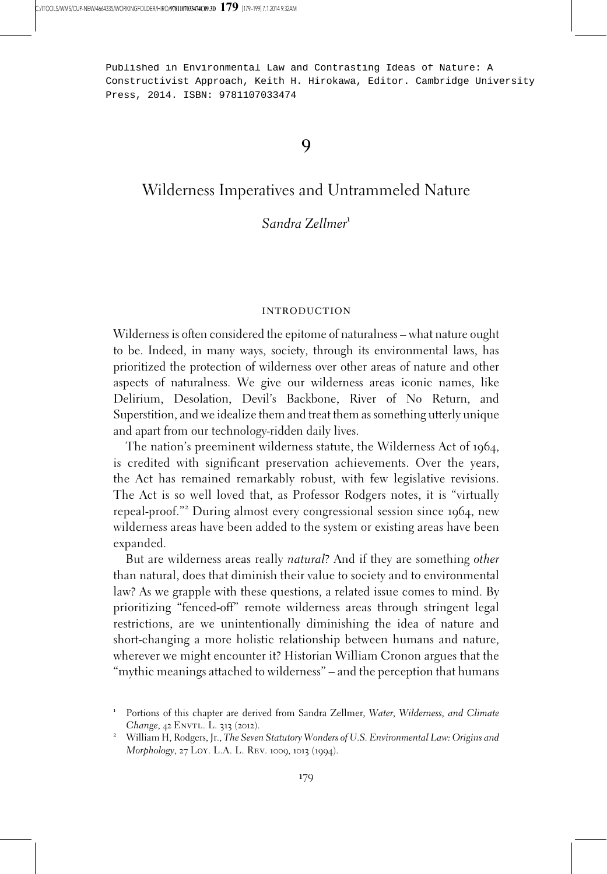Published in Environmental Law and Contrasting Ideas of Nature: A Constructivist Approach, Keith H. Hirokawa, Editor. Cambridge University Press, 2014. ISBN: 9781107033474

9

# Wilderness Imperatives and Untrammeled Nature

### Sandra Zellmer<sup>1</sup>

#### introduction

Wilderness is often considered the epitome of naturalness – what nature ought to be. Indeed, in many ways, society, through its environmental laws, has prioritized the protection of wilderness over other areas of nature and other aspects of naturalness. We give our wilderness areas iconic names, like Delirium, Desolation, Devil's Backbone, River of No Return, and Superstition, and we idealize them and treat them as something utterly unique and apart from our technology-ridden daily lives.

The nation's preeminent wilderness statute, the Wilderness Act of 1964, is credited with significant preservation achievements. Over the years, the Act has remained remarkably robust, with few legislative revisions. The Act is so well loved that, as Professor Rodgers notes, it is "virtually repeal-proof."<sup>2</sup> During almost every congressional session since <sup>1964</sup>, new wilderness areas have been added to the system or existing areas have been expanded.

But are wilderness areas really natural? And if they are something other than natural, does that diminish their value to society and to environmental law? As we grapple with these questions, a related issue comes to mind. By prioritizing "fenced-off" remote wilderness areas through stringent legal restrictions, are we unintentionally diminishing the idea of nature and short-changing a more holistic relationship between humans and nature, wherever we might encounter it? Historian William Cronon argues that the "mythic meanings attached to wilderness" – and the perception that humans

<sup>&</sup>lt;sup>1</sup> Portions of this chapter are derived from Sandra Zellmer, Water, Wilderness, and Climate Change, 42 ENVTL. L. 313 (2012).<br><sup>2</sup> William H, Rodgers, Jr., The Seven Statutory Wonders of U.S. Environmental Law: Origins and

Morphology, 27 Loy. L.A. L. Rev. 1009, 1013 (1994).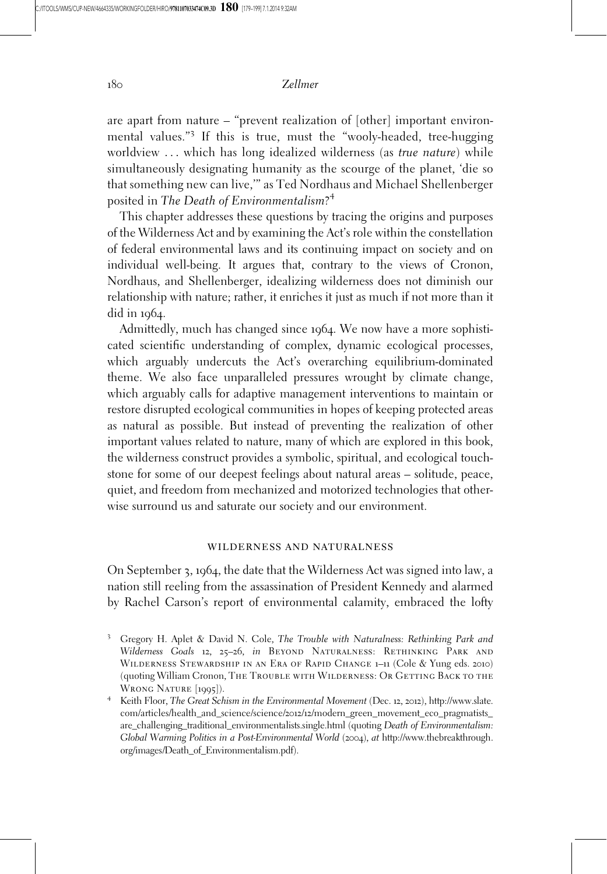are apart from nature – "prevent realization of [other] important environmental values."<sup>3</sup> If this is true, must the "wooly-headed, tree-hugging worldview ... which has long idealized wilderness (as true nature) while simultaneously designating humanity as the scourge of the planet, 'die so that something new can live,'" as Ted Nordhaus and Michael Shellenberger posited in The Death of Environmentalism?<sup>4</sup>

This chapter addresses these questions by tracing the origins and purposes of the Wilderness Act and by examining the Act's role within the constellation of federal environmental laws and its continuing impact on society and on individual well-being. It argues that, contrary to the views of Cronon, Nordhaus, and Shellenberger, idealizing wilderness does not diminish our relationship with nature; rather, it enriches it just as much if not more than it did in 1964.

Admittedly, much has changed since 1964. We now have a more sophisticated scientific understanding of complex, dynamic ecological processes, which arguably undercuts the Act's overarching equilibrium-dominated theme. We also face unparalleled pressures wrought by climate change, which arguably calls for adaptive management interventions to maintain or restore disrupted ecological communities in hopes of keeping protected areas as natural as possible. But instead of preventing the realization of other important values related to nature, many of which are explored in this book, the wilderness construct provides a symbolic, spiritual, and ecological touchstone for some of our deepest feelings about natural areas – solitude, peace, quiet, and freedom from mechanized and motorized technologies that otherwise surround us and saturate our society and our environment.

#### wilderness and naturalness

On September 3, 1964, the date that the Wilderness Act was signed into law, a nation still reeling from the assassination of President Kennedy and alarmed by Rachel Carson's report of environmental calamity, embraced the lofty

<sup>&</sup>lt;sup>3</sup> Gregory H. Aplet & David N. Cole, The Trouble with Naturalness: Rethinking Park and Wilderness Goals 12, 25-26, in BEYOND NATURALNESS: RETHINKING PARK AND Wilderness Stewardship in an Era of Rapid Change 1–11 (Cole & Yung eds. 2010) (quoting William Cronon, THE TROUBLE WITH WILDERNESS: OR GETTING BACK TO THE WRONG NATURE [1995]).<br><sup>4</sup> Keith Floor, *The Great Schism in the Environmental Movement* (Dec. 12, 2012), http://www.slate.

com/articles/health\_and\_science/science/2012/12/modern\_green\_movement\_eco\_pragmatists\_ are\_challenging\_traditional\_environmentalists.single.html (quoting Death of Environmentalism: Global Warming Politics in a Post-Environmental World (2004), at http://www.thebreakthrough. org/images/Death\_of\_Environmentalism.pdf).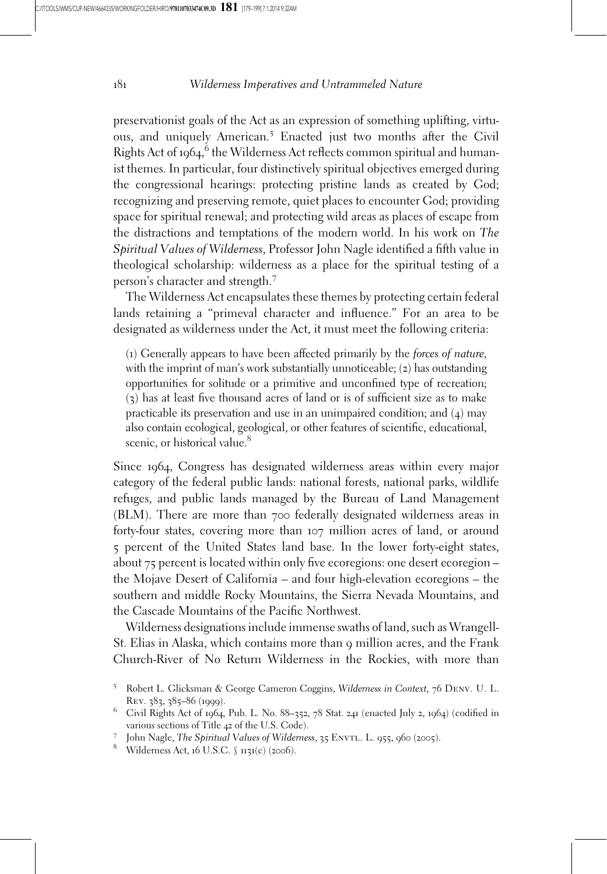preservationist goals of the Act as an expression of something uplifting, virtuous, and uniquely American.<sup>5</sup> Enacted just two months after the Civil Rights Act of 1964, <sup>6</sup> the Wilderness Act reflects common spiritual and humanist themes. In particular, four distinctively spiritual objectives emerged during the congressional hearings: protecting pristine lands as created by God; recognizing and preserving remote, quiet places to encounter God; providing space for spiritual renewal; and protecting wild areas as places of escape from the distractions and temptations of the modern world. In his work on The Spiritual Values of Wilderness, Professor John Nagle identified a fifth value in theological scholarship: wilderness as a place for the spiritual testing of a person's character and strength.<sup>7</sup>

The Wilderness Act encapsulates these themes by protecting certain federal lands retaining a "primeval character and influence." For an area to be designated as wilderness under the Act, it must meet the following criteria:

(1) Generally appears to have been affected primarily by the forces of nature, with the imprint of man's work substantially unnoticeable; (2) has outstanding opportunities for solitude or a primitive and unconfined type of recreation; (3) has at least five thousand acres of land or is of sufficient size as to make practicable its preservation and use in an unimpaired condition; and  $(4)$  may also contain ecological, geological, or other features of scientific, educational, scenic, or historical value.<sup>8</sup>

Since 1964, Congress has designated wilderness areas within every major category of the federal public lands: national forests, national parks, wildlife refuges, and public lands managed by the Bureau of Land Management (BLM). There are more than 700 federally designated wilderness areas in forty-four states, covering more than 107 million acres of land, or around 5 percent of the United States land base. In the lower forty-eight states, about 75 percent is located within only five ecoregions: one desert ecoregion – the Mojave Desert of California – and four high-elevation ecoregions – the southern and middle Rocky Mountains, the Sierra Nevada Mountains, and the Cascade Mountains of the Pacific Northwest.

Wilderness designations include immense swaths of land, such as Wrangell-St. Elias in Alaska, which contains more than 9 million acres, and the Frank Church-River of No Return Wilderness in the Rockies, with more than

<sup>5</sup> Robert L. Glicksman & George Cameron Coggins, Wilderness in Context, 76 Denv. U. L. Rev. <sup>383</sup>, <sup>385</sup>–<sup>86</sup> (1999). <sup>6</sup> Civil Rights Act of <sup>1964</sup>, Pub. L. No. <sup>88</sup>–352, <sup>78</sup> Stat. <sup>241</sup> (enacted July <sup>2</sup>, <sup>1964</sup>) (codified in

various sections of Title 42 of the U.S. Code).<br>
7 John Nagle, *The Spiritual Values of Wilderness*, 35 ENVTL. L. 955, 960 (2005).<br>
<sup>8</sup> Wilderness Act, 16 U.S.C.  $\int$  1131(c) (2006).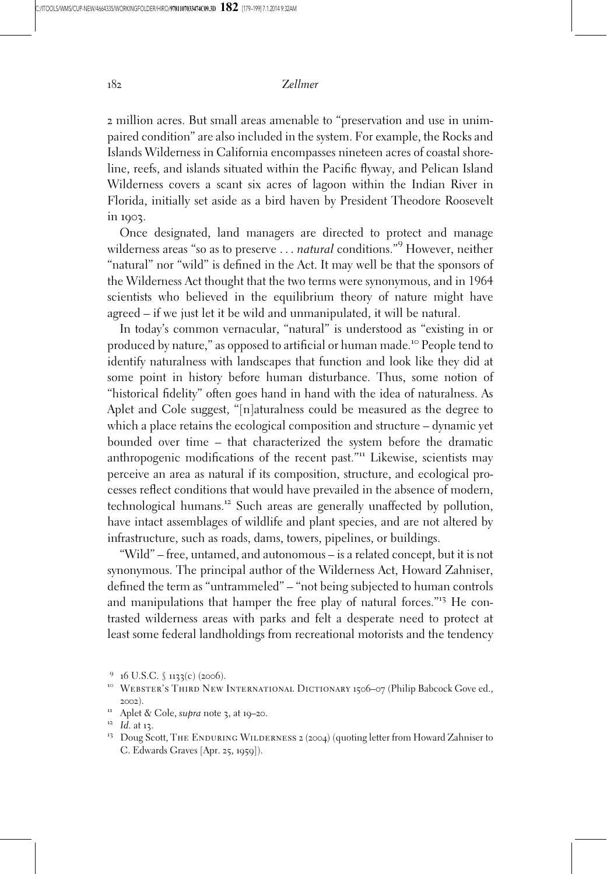2 million acres. But small areas amenable to "preservation and use in unimpaired condition" are also included in the system. For example, the Rocks and Islands Wilderness in California encompasses nineteen acres of coastal shoreline, reefs, and islands situated within the Pacific flyway, and Pelican Island Wilderness covers a scant six acres of lagoon within the Indian River in Florida, initially set aside as a bird haven by President Theodore Roosevelt in 1903.

Once designated, land managers are directed to protect and manage wilderness areas "so as to preserve ... *natural* conditions."<sup>9</sup> However, neither "natural" nor "wild" is defined in the Act. It may well be that the sponsors of the Wilderness Act thought that the two terms were synonymous, and in 1964 scientists who believed in the equilibrium theory of nature might have agreed – if we just let it be wild and unmanipulated, it will be natural.

In today's common vernacular, "natural" is understood as "existing in or produced by nature," as opposed to artificial or human made.<sup>10</sup> People tend to identify naturalness with landscapes that function and look like they did at some point in history before human disturbance. Thus, some notion of "historical fidelity" often goes hand in hand with the idea of naturalness. As Aplet and Cole suggest, "[n]aturalness could be measured as the degree to which a place retains the ecological composition and structure – dynamic yet bounded over time – that characterized the system before the dramatic anthropogenic modifications of the recent past."<sup>11</sup> Likewise, scientists may perceive an area as natural if its composition, structure, and ecological processes reflect conditions that would have prevailed in the absence of modern, technological humans.<sup>12</sup> Such areas are generally unaffected by pollution, have intact assemblages of wildlife and plant species, and are not altered by infrastructure, such as roads, dams, towers, pipelines, or buildings.

"Wild" – free, untamed, and autonomous – is a related concept, but it is not synonymous. The principal author of the Wilderness Act, Howard Zahniser, defined the term as "untrammeled" – "not being subjected to human controls and manipulations that hamper the free play of natural forces."<sup>13</sup> He contrasted wilderness areas with parks and felt a desperate need to protect at least some federal landholdings from recreational motorists and the tendency

<sup>&</sup>lt;sup>9</sup> 16 U.S.C. § 1133(c) (2006).<br><sup>10</sup> Webster's Third New International Dictionary 1506–07 (Philip Babcock Gove ed., <sup>11</sup> Aplet & Cole, su*pra* note 3, at 19–20.<br><sup>12</sup> Id. at 13. 12 Id. at 13. 13 Doug Scott, The ENDURING WILDERNESS 2 (2004) (quoting letter from Howard Zahniser to

C. Edwards Graves [Apr. 25, 1959]).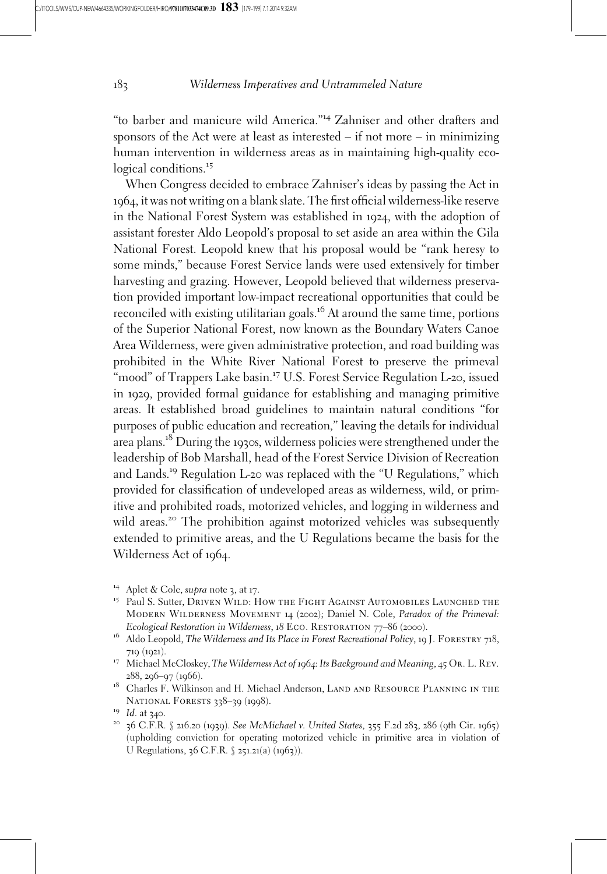"to barber and manicure wild America."<sup>14</sup> Zahniser and other drafters and sponsors of the Act were at least as interested – if not more – in minimizing human intervention in wilderness areas as in maintaining high-quality ecological conditions.<sup>15</sup>

When Congress decided to embrace Zahniser's ideas by passing the Act in 1964, it was not writing on a blank slate. The first official wilderness-like reserve in the National Forest System was established in 1924, with the adoption of assistant forester Aldo Leopold's proposal to set aside an area within the Gila National Forest. Leopold knew that his proposal would be "rank heresy to some minds," because Forest Service lands were used extensively for timber harvesting and grazing. However, Leopold believed that wilderness preservation provided important low-impact recreational opportunities that could be reconciled with existing utilitarian goals.<sup>16</sup> At around the same time, portions of the Superior National Forest, now known as the Boundary Waters Canoe Area Wilderness, were given administrative protection, and road building was prohibited in the White River National Forest to preserve the primeval "mood" of Trappers Lake basin.<sup>17</sup> U.S. Forest Service Regulation L-20, issued in 1929, provided formal guidance for establishing and managing primitive areas. It established broad guidelines to maintain natural conditions "for purposes of public education and recreation," leaving the details for individual area plans.<sup>18</sup> During the <sup>1930</sup>s, wilderness policies were strengthened under the leadership of Bob Marshall, head of the Forest Service Division of Recreation and Lands.<sup>19</sup> Regulation L-<sup>20</sup> was replaced with the "U Regulations," which provided for classification of undeveloped areas as wilderness, wild, or primitive and prohibited roads, motorized vehicles, and logging in wilderness and wild areas.<sup>20</sup> The prohibition against motorized vehicles was subsequently extended to primitive areas, and the U Regulations became the basis for the Wilderness Act of 1964.

- <sup>14</sup> Aplet & Cole, su*pra* note 3, at 17.<br><sup>15</sup> Paul S. Sutter, Driven Wild: How the Fight Against Automobiles Launched the MODERN WILDERNESS MOVEMENT 14 (2002); Daniel N. Cole, Paradox of the Primeval:<br>Ecological Restoration in Wilderness, 18 ECO. RESTORATION 77-86 (2000).
- <sup>16</sup> Aldo Leopold, The Wilderness and Its Place in Forest Recreational Policy, 19 J. FORESTRY 718, <sup>719</sup> (1921). <sup>17</sup> Michael McCloskey, The Wilderness Act of <sup>1964</sup>: Its Background and Meaning, 45 Or. L. Rev.
- 
- 288, 296–97 (1966). 18 Charles F. Wilkinson and H. Michael Anderson, LAND AND RESOURCE PLANNING IN THE NATIONAL FORESTS 338–39 (1998).<br><sup>19</sup> Id. at 340.<br><sup>20</sup> 36 C.F.R. § 216.20 (1939). *See McMichael v. United States*, 355 F.2d 283, 286 (9th Cir. 1965)
- 
- (upholding conviction for operating motorized vehicle in primitive area in violation of U Regulations, 36 C.F.R. § 251.21(a) (1963)).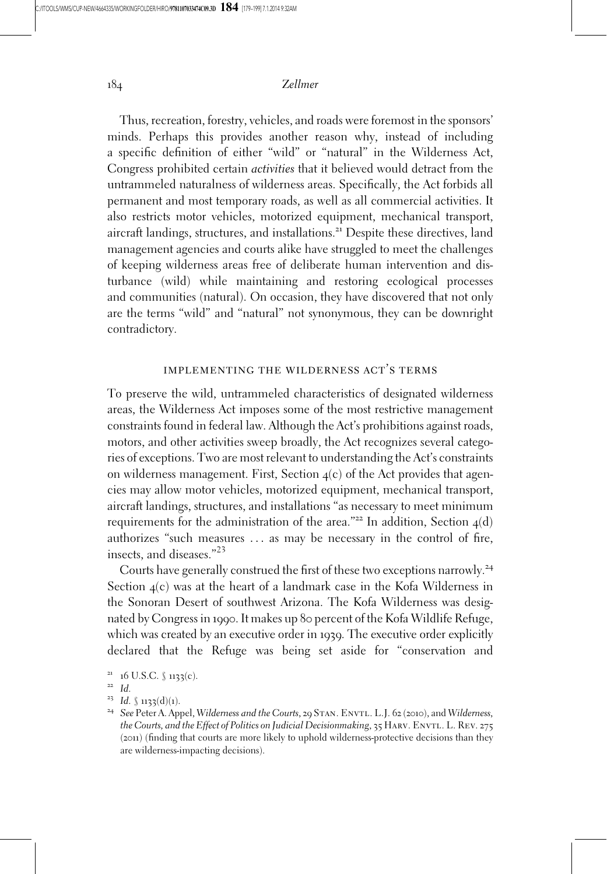Thus, recreation, forestry, vehicles, and roads were foremost in the sponsors' minds. Perhaps this provides another reason why, instead of including a specific definition of either "wild" or "natural" in the Wilderness Act, Congress prohibited certain activities that it believed would detract from the untrammeled naturalness of wilderness areas. Specifically, the Act forbids all permanent and most temporary roads, as well as all commercial activities. It also restricts motor vehicles, motorized equipment, mechanical transport, aircraft landings, structures, and installations.<sup>21</sup> Despite these directives, land management agencies and courts alike have struggled to meet the challenges of keeping wilderness areas free of deliberate human intervention and disturbance (wild) while maintaining and restoring ecological processes and communities (natural). On occasion, they have discovered that not only are the terms "wild" and "natural" not synonymous, they can be downright contradictory.

#### implementing the wilderness act's terms

To preserve the wild, untrammeled characteristics of designated wilderness areas, the Wilderness Act imposes some of the most restrictive management constraints found in federal law. Although the Act's prohibitions against roads, motors, and other activities sweep broadly, the Act recognizes several categories of exceptions. Two are most relevant to understanding the Act's constraints on wilderness management. First, Section 4(c) of the Act provides that agencies may allow motor vehicles, motorized equipment, mechanical transport, aircraft landings, structures, and installations "as necessary to meet minimum requirements for the administration of the area."<sup>22</sup> In addition, Section  $4(d)$ authorizes "such measures ... as may be necessary in the control of fire, insects, and diseases."<sup>23</sup>

Courts have generally construed the first of these two exceptions narrowly.<sup>24</sup> Section 4(c) was at the heart of a landmark case in the Kofa Wilderness in the Sonoran Desert of southwest Arizona. The Kofa Wilderness was designated by Congress in 1990. It makes up 80 percent of the Kofa Wildlife Refuge, which was created by an executive order in 1939. The executive order explicitly declared that the Refuge was being set aside for "conservation and

<sup>&</sup>lt;sup>21</sup> 16 U.S.C. § 1133(c).<br><sup>22</sup> Id.<br><sup>23</sup> Id. § 1133(d)(1).<br><sup>24</sup> See Peter A. Appel, Wilderness and the Courts, 29 STAN. ENVTL. L.J. 62 (2010), and Wilderness, the Courts, and the Effect of Politics on Judicial Decisionmaking, 35 HARV. ENVTL. L. REV. 275 (2011) (finding that courts are more likely to uphold wilderness-protective decisions than they are wilderness-impacting decisions).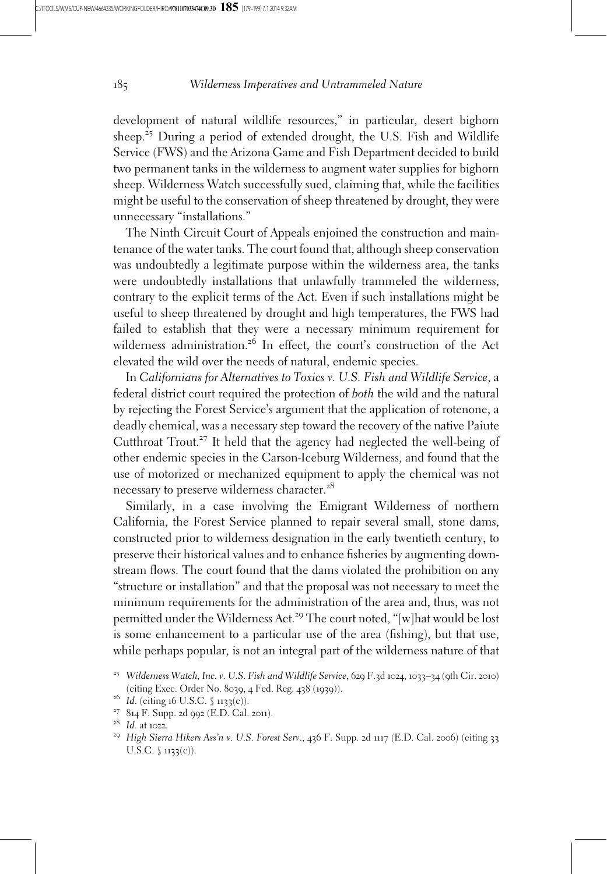development of natural wildlife resources," in particular, desert bighorn sheep.<sup>25</sup> During a period of extended drought, the U.S. Fish and Wildlife Service (FWS) and the Arizona Game and Fish Department decided to build two permanent tanks in the wilderness to augment water supplies for bighorn sheep. Wilderness Watch successfully sued, claiming that, while the facilities might be useful to the conservation of sheep threatened by drought, they were unnecessary "installations."

The Ninth Circuit Court of Appeals enjoined the construction and maintenance of the water tanks. The court found that, although sheep conservation was undoubtedly a legitimate purpose within the wilderness area, the tanks were undoubtedly installations that unlawfully trammeled the wilderness, contrary to the explicit terms of the Act. Even if such installations might be useful to sheep threatened by drought and high temperatures, the FWS had failed to establish that they were a necessary minimum requirement for wilderness administration.<sup>26</sup> In effect, the court's construction of the Act elevated the wild over the needs of natural, endemic species.

In Californians for Alternatives to Toxics v. U.S. Fish and Wildlife Service, a federal district court required the protection of both the wild and the natural by rejecting the Forest Service's argument that the application of rotenone, a deadly chemical, was a necessary step toward the recovery of the native Paiute Cutthroat Trout.<sup>27</sup> It held that the agency had neglected the well-being of other endemic species in the Carson-Iceburg Wilderness, and found that the use of motorized or mechanized equipment to apply the chemical was not necessary to preserve wilderness character.<sup>28</sup>

Similarly, in a case involving the Emigrant Wilderness of northern California, the Forest Service planned to repair several small, stone dams, constructed prior to wilderness designation in the early twentieth century, to preserve their historical values and to enhance fisheries by augmenting downstream flows. The court found that the dams violated the prohibition on any "structure or installation" and that the proposal was not necessary to meet the minimum requirements for the administration of the area and, thus, was not permitted under the Wilderness Act.<sup>29</sup> The court noted, "[w]hat would be lost is some enhancement to a particular use of the area (fishing), but that use, while perhaps popular, is not an integral part of the wilderness nature of that

<sup>&</sup>lt;sup>25</sup> Wilderness Watch, Inc. v. U.S. Fish and Wildlife Service, 629 F.3d 1024, 1033-34 (9th Cir. 2010) (citing Exec. Order No. 8039, 4 Fed. Reg. 438 (1939)).<br><sup>26</sup> Id. (citing 16 U.S.C. § 1133(c)).<br><sup>27</sup> 814 F. Supp. 2d 992 (E.D. Cal. 2011).<br><sup>28</sup> Id. at 1022.<br><sup>29</sup> High Sierra Hikers Ass'n v. U.S. Forest Serv., 436 F. Supp. 2

U.S.C.  $\{(1133(c))$ .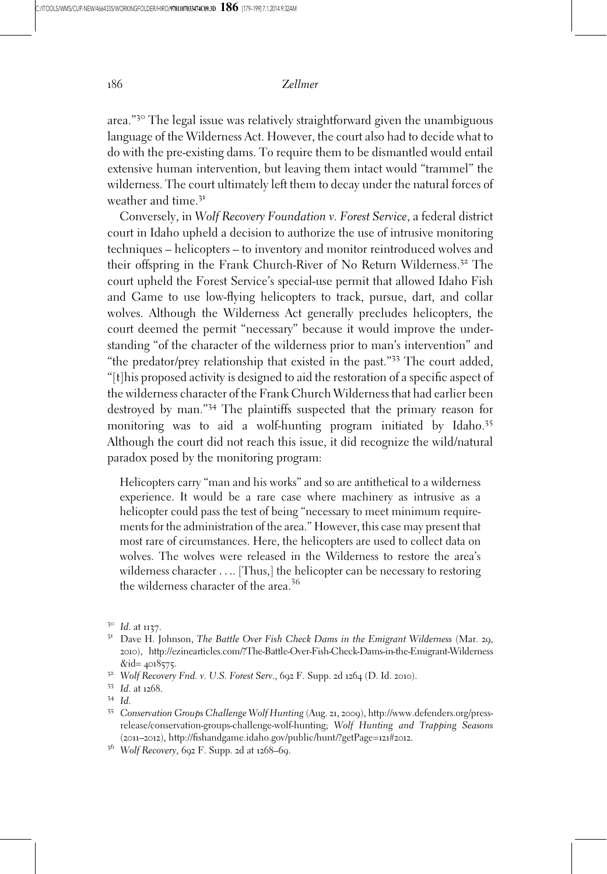area."<sup>30</sup> The legal issue was relatively straightforward given the unambiguous language of the Wilderness Act. However, the court also had to decide what to do with the pre-existing dams. To require them to be dismantled would entail extensive human intervention, but leaving them intact would "trammel" the wilderness. The court ultimately left them to decay under the natural forces of weather and time.<sup>31</sup>

Conversely, in Wolf Recovery Foundation v. Forest Service, a federal district court in Idaho upheld a decision to authorize the use of intrusive monitoring techniques – helicopters – to inventory and monitor reintroduced wolves and their offspring in the Frank Church-River of No Return Wilderness.<sup>32</sup> The court upheld the Forest Service's special-use permit that allowed Idaho Fish and Game to use low-flying helicopters to track, pursue, dart, and collar wolves. Although the Wilderness Act generally precludes helicopters, the court deemed the permit "necessary" because it would improve the understanding "of the character of the wilderness prior to man's intervention" and "the predator/prey relationship that existed in the past."<sup>33</sup> The court added, "[t]his proposed activity is designed to aid the restoration of a specific aspect of the wilderness character of the Frank Church Wilderness that had earlier been destroyed by man."<sup>34</sup> The plaintiffs suspected that the primary reason for monitoring was to aid a wolf-hunting program initiated by Idaho.<sup>35</sup> Although the court did not reach this issue, it did recognize the wild/natural paradox posed by the monitoring program:

Helicopters carry "man and his works" and so are antithetical to a wilderness experience. It would be a rare case where machinery as intrusive as a helicopter could pass the test of being "necessary to meet minimum requirements for the administration of the area." However, this case may present that most rare of circumstances. Here, the helicopters are used to collect data on wolves. The wolves were released in the Wilderness to restore the area's wilderness character .... [Thus,] the helicopter can be necessary to restoring the wilderness character of the area.<sup>36</sup>

<sup>&</sup>lt;sup>30</sup> Id. at 1137.<br><sup>31</sup> Dave H. Johnson, *The Battle Over Fish Check Dams in the Emigrant Wilderness (Mar. 29,* 2010), http://ezinearticles.com/?The-Battle-Over-Fish-Check-Dams-in-the-Emigrant-Wilderness &id= <sup>4018575</sup>. <sup>32</sup> Wolf Recovery Fnd. v. U.S. Forest Serv., <sup>692</sup> F. Supp. <sup>2</sup><sup>d</sup> <sup>1264</sup> (D. Id. <sup>2010</sup>). <sup>33</sup> Id. at <sup>1268</sup>. <sup>34</sup> Id. <sup>35</sup> Conservation Groups Challenge Wolf Hunting (Aug. <sup>21</sup>, <sup>2009</sup>), http://www.defenders.org/press-

release/conservation-groups-challenge-wolf-hunting; Wolf Hunting and Trapping Seasons (2011–2012), http://fishandgame.idaho.gov/public/hunt/?getPage=121#2012.<br><sup>36</sup> Wolf Recovery, 692 F. Supp. 2d at 1268–69.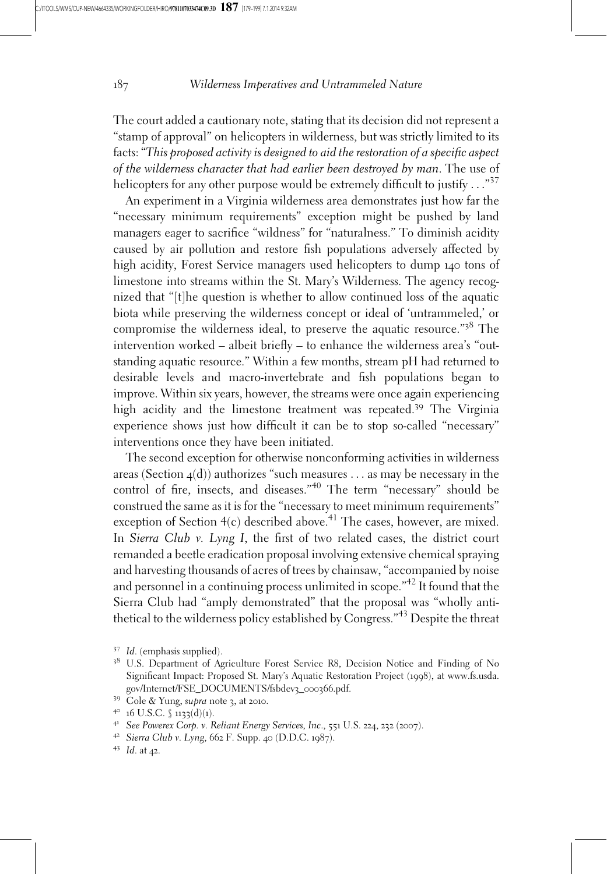The court added a cautionary note, stating that its decision did not represent a "stamp of approval" on helicopters in wilderness, but was strictly limited to its facts: "This proposed activity is designed to aid the restoration of a specific aspect of the wilderness character that had earlier been destroyed by man. The use of helicopters for any other purpose would be extremely difficult to justify  $\ldots$ "<sup>37</sup>

An experiment in a Virginia wilderness area demonstrates just how far the "necessary minimum requirements" exception might be pushed by land managers eager to sacrifice "wildness" for "naturalness." To diminish acidity caused by air pollution and restore fish populations adversely affected by high acidity, Forest Service managers used helicopters to dump 140 tons of limestone into streams within the St. Mary's Wilderness. The agency recognized that "[t]he question is whether to allow continued loss of the aquatic biota while preserving the wilderness concept or ideal of 'untrammeled,' or compromise the wilderness ideal, to preserve the aquatic resource."<sup>38</sup> The intervention worked – albeit briefly – to enhance the wilderness area's "outstanding aquatic resource." Within a few months, stream pH had returned to desirable levels and macro-invertebrate and fish populations began to improve. Within six years, however, the streams were once again experiencing high acidity and the limestone treatment was repeated.<sup>39</sup> The Virginia experience shows just how difficult it can be to stop so-called "necessary" interventions once they have been initiated.

The second exception for otherwise nonconforming activities in wilderness areas (Section  $4(d)$ ) authorizes "such measures ... as may be necessary in the control of fire, insects, and diseases."<sup>40</sup> The term "necessary" should be construed the same as it is for the "necessary to meet minimum requirements" exception of Section  $4(c)$  described above.<sup>41</sup> The cases, however, are mixed. In Sierra Club v. Lyng I, the first of two related cases, the district court remanded a beetle eradication proposal involving extensive chemical spraying and harvesting thousands of acres of trees by chainsaw, "accompanied by noise and personnel in a continuing process unlimited in scope."42 It found that the Sierra Club had "amply demonstrated" that the proposal was "wholly antithetical to the wilderness policy established by Congress."<sup>43</sup> Despite the threat

<sup>37</sup> Id. (emphasis supplied).

<sup>&</sup>lt;sup>38</sup> U.S. Department of Agriculture Forest Service R8, Decision Notice and Finding of No Significant Impact: Proposed St. Mary's Aquatic Restoration Project (1998), at www.fs.usda. gov/Internet/FSE\_DOCUMENTS/fsbdev3\_000366.pdf.<br><sup>39</sup> Cole & Yung, *supra* note 3, at 2010.<br><sup>40</sup> 16 U.S.C. § 1133(d)(1).<br><sup>41</sup> See Powerex Corp. v. Reliant Energy Services, Inc., 551 U.S. 224, 232 (2007).<br><sup>42</sup> Sierra Club v.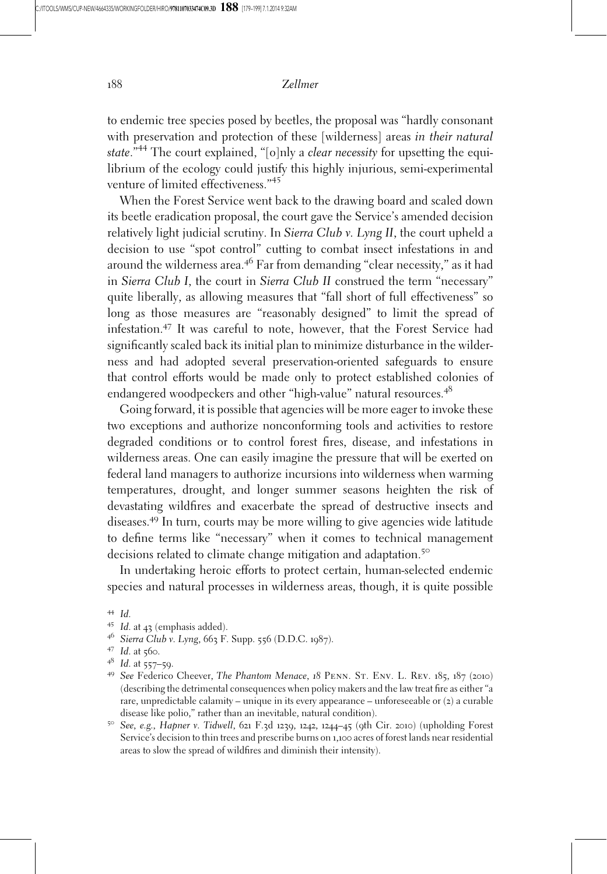to endemic tree species posed by beetles, the proposal was "hardly consonant with preservation and protection of these [wilderness] areas in their natural state."<sup>44</sup> The court explained, "[o]nly a *clear necessity* for upsetting the equilibrium of the ecology could justify this highly injurious, semi-experimental venture of limited effectiveness."<sup>45</sup>

When the Forest Service went back to the drawing board and scaled down its beetle eradication proposal, the court gave the Service's amended decision relatively light judicial scrutiny. In Sierra Club v. Lyng II, the court upheld a decision to use "spot control" cutting to combat insect infestations in and around the wilderness area.<sup>46</sup> Far from demanding "clear necessity," as it had in Sierra Club I, the court in Sierra Club II construed the term "necessary" quite liberally, as allowing measures that "fall short of full effectiveness" so long as those measures are "reasonably designed" to limit the spread of infestation.<sup>47</sup> It was careful to note, however, that the Forest Service had significantly scaled back its initial plan to minimize disturbance in the wilderness and had adopted several preservation-oriented safeguards to ensure that control efforts would be made only to protect established colonies of endangered woodpeckers and other "high-value" natural resources.<sup>48</sup>

Going forward, it is possible that agencies will be more eager to invoke these two exceptions and authorize nonconforming tools and activities to restore degraded conditions or to control forest fires, disease, and infestations in wilderness areas. One can easily imagine the pressure that will be exerted on federal land managers to authorize incursions into wilderness when warming temperatures, drought, and longer summer seasons heighten the risk of devastating wildfires and exacerbate the spread of destructive insects and diseases.<sup>49</sup> In turn, courts may be more willing to give agencies wide latitude to define terms like "necessary" when it comes to technical management decisions related to climate change mitigation and adaptation.<sup>50</sup>

In undertaking heroic efforts to protect certain, human-selected endemic species and natural processes in wilderness areas, though, it is quite possible

- <sup>44</sup> Id.<br><sup>45</sup> Id. at 43 (emphasis added).<br><sup>46</sup> Sierra Club v. Lyng, 663 F. Supp. 556 (D.D.C. 1987).
- 
- 
- <sup>47</sup> Id. at 560.<br><sup>48</sup> Id. at 557–59.<br><sup>49</sup> See Federico Cheever, *The Phantom Menace*, 18 PENN. ST. ENV. L. REV. 185, 187 (2010) (describing the detrimental consequences when policy makers and the law treat fire as either "a rare, unpredictable calamity – unique in its every appearance – unforeseeable or  $(z)$  a curable disease like polio," rather than an inevitable, natural condition).<br><sup>50</sup> See, e.g., Hapner v. Tidwell, 621 F.3d 1239, 1242, 1244–45 (9th Cir. 2010) (upholding Forest
- Service's decision to thin trees and prescribe burns on 1,100 acres of forest lands near residential areas to slow the spread of wildfires and diminish their intensity).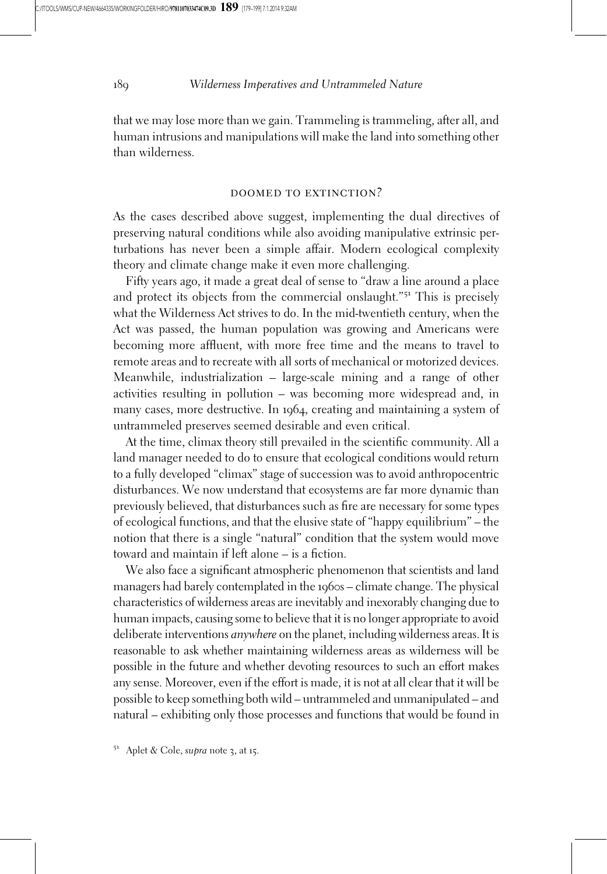that we may lose more than we gain. Trammeling is trammeling, after all, and human intrusions and manipulations will make the land into something other than wilderness.

#### DOOMED TO EXTINCTION?

As the cases described above suggest, implementing the dual directives of preserving natural conditions while also avoiding manipulative extrinsic perturbations has never been a simple affair. Modern ecological complexity theory and climate change make it even more challenging.

Fifty years ago, it made a great deal of sense to "draw a line around a place and protect its objects from the commercial onslaught."<sup>51</sup> This is precisely what the Wilderness Act strives to do. In the mid-twentieth century, when the Act was passed, the human population was growing and Americans were becoming more affluent, with more free time and the means to travel to remote areas and to recreate with all sorts of mechanical or motorized devices. Meanwhile, industrialization – large-scale mining and a range of other activities resulting in pollution – was becoming more widespread and, in many cases, more destructive. In 1964, creating and maintaining a system of untrammeled preserves seemed desirable and even critical.

At the time, climax theory still prevailed in the scientific community. All a land manager needed to do to ensure that ecological conditions would return to a fully developed "climax" stage of succession was to avoid anthropocentric disturbances. We now understand that ecosystems are far more dynamic than previously believed, that disturbances such as fire are necessary for some types of ecological functions, and that the elusive state of "happy equilibrium" – the notion that there is a single "natural" condition that the system would move toward and maintain if left alone – is a fiction.

We also face a significant atmospheric phenomenon that scientists and land managers had barely contemplated in the 1960s – climate change. The physical characteristics of wilderness areas are inevitably and inexorably changing due to human impacts, causing some to believe that it is no longer appropriate to avoid deliberate interventions anywhere on the planet, including wilderness areas. It is reasonable to ask whether maintaining wilderness areas as wilderness will be possible in the future and whether devoting resources to such an effort makes any sense. Moreover, even if the effort is made, it is not at all clear that it will be possible to keep something both wild – untrammeled and unmanipulated – and natural – exhibiting only those processes and functions that would be found in

 $5<sup>1</sup>$  Aplet & Cole, supra note 3, at 15.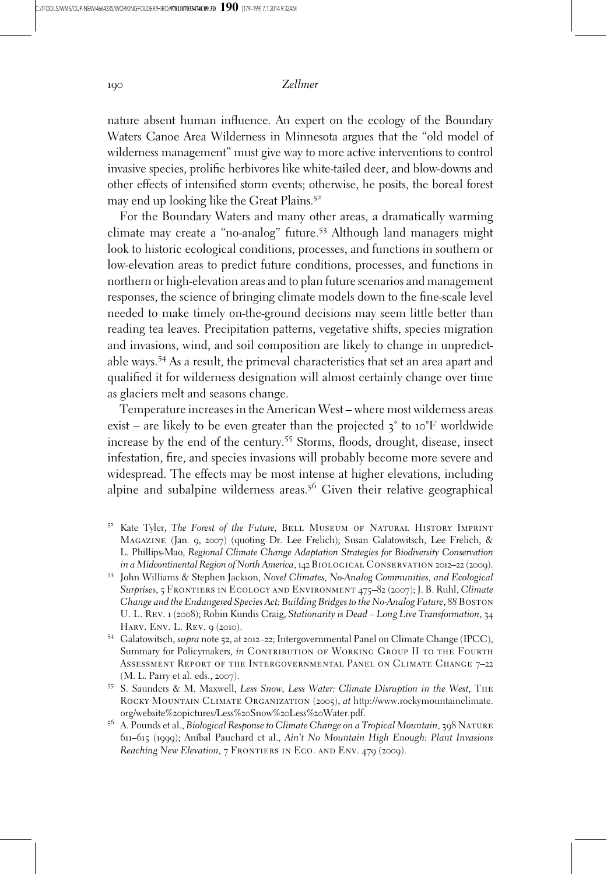nature absent human influence. An expert on the ecology of the Boundary Waters Canoe Area Wilderness in Minnesota argues that the "old model of wilderness management" must give way to more active interventions to control invasive species, prolific herbivores like white-tailed deer, and blow-downs and other effects of intensified storm events; otherwise, he posits, the boreal forest may end up looking like the Great Plains.<sup>52</sup>

For the Boundary Waters and many other areas, a dramatically warming climate may create a "no-analog" future.<sup>53</sup> Although land managers might look to historic ecological conditions, processes, and functions in southern or low-elevation areas to predict future conditions, processes, and functions in northern or high-elevation areas and to plan future scenarios and management responses, the science of bringing climate models down to the fine-scale level needed to make timely on-the-ground decisions may seem little better than reading tea leaves. Precipitation patterns, vegetative shifts, species migration and invasions, wind, and soil composition are likely to change in unpredictable ways.<sup>54</sup> As a result, the primeval characteristics that set an area apart and qualified it for wilderness designation will almost certainly change over time as glaciers melt and seasons change.

Temperature increases in the American West – where most wilderness areas exist – are likely to be even greater than the projected  $\zeta^{\circ}$  to 10°F worldwide increase by the end of the century.<sup>55</sup> Storms, floods, drought, disease, insect infestation, fire, and species invasions will probably become more severe and widespread. The effects may be most intense at higher elevations, including alpine and subalpine wilderness areas.<sup>56</sup> Given their relative geographical

- <sup>52</sup> Kate Tyler, The Forest of the Future, BELL MUSEUM OF NATURAL HISTORY IMPRINT Magazine (Jan. 9, 2007) (quoting Dr. Lee Frelich); Susan Galatowitsch, Lee Frelich, & L. Phillips-Mao, Regional Climate Change Adaptation Strategies for Biodiversity Conservation in a Midcontinental Region of North America, 142 Biological Conservation 2012–<sup>22</sup> (2009). <sup>53</sup> John Williams & Stephen Jackson, Novel Climates, No-Analog Communities, and Ecological
- Surprises, 5 Frontiers in Ecology and Environment 475–82 (2007); J. B. Ruhl, Climate Change and the Endangered Species Act: Building Bridges to the No-Analog Future, 88 Boston U. L. Rev. 1 (2008); Robin Kundis Craig, Stationarity is Dead – Long Live Transformation, 34 HARV. ENV. L. Rev. 9 (2010).
- 54 Galatowitsch, supra note 52, at 2012–22; Intergovernmental Panel on Climate Change (IPCC), Summary for Policymakers, in CONTRIBUTION OF WORKING GROUP II TO THE FOURTH Assessment Report of the Intergovernmental Panel on Climate Change 7–22 (M. L. Parry et al. eds., 2007).<br><sup>55</sup> S. Saunders & M. Maxwell, *Less Snow, Less Water: Climate Disruption in the West*, THE
- ROCKY MOUNTAIN CLIMATE ORGANIZATION (2005), at http://www.rockymountainclimate. org/website%20pictures/Less%20Snow%20Less%20Water.pdf.
- <sup>56</sup> A. Pounds et al., Biological Response to Climate Change on a Tropical Mountain, 398 NATURE 611–615 (1999); Anı´bal Pauchard et al., Ain't No Mountain High Enough: Plant Invasions Reaching New Elevation, 7 FRONTIERS IN ECO. AND ENV. 479 (2009).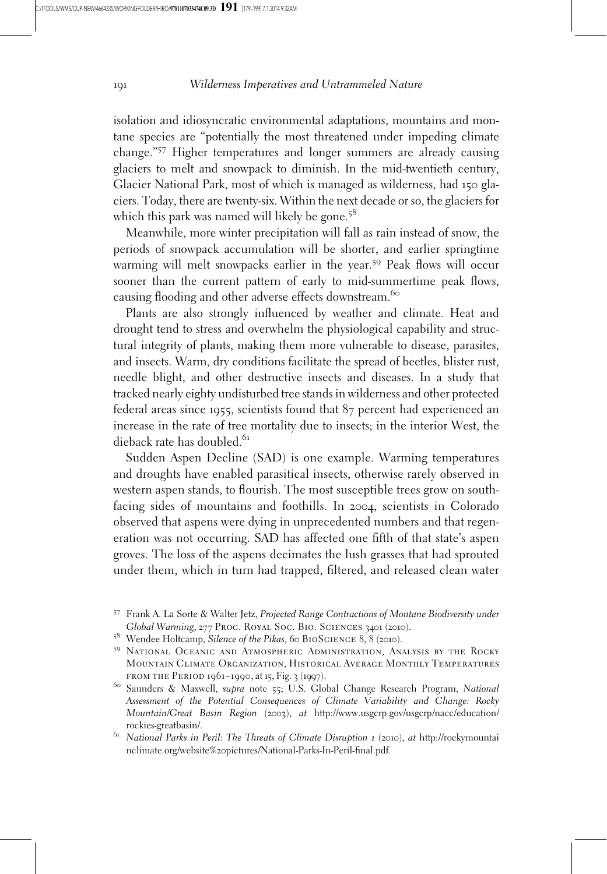isolation and idiosyncratic environmental adaptations, mountains and montane species are "potentially the most threatened under impeding climate change."<sup>57</sup> Higher temperatures and longer summers are already causing glaciers to melt and snowpack to diminish. In the mid-twentieth century, Glacier National Park, most of which is managed as wilderness, had 150 glaciers. Today, there are twenty-six. Within the next decade or so, the glaciers for which this park was named will likely be gone.<sup>58</sup>

Meanwhile, more winter precipitation will fall as rain instead of snow, the periods of snowpack accumulation will be shorter, and earlier springtime warming will melt snowpacks earlier in the year.<sup>59</sup> Peak flows will occur sooner than the current pattern of early to mid-summertime peak flows, causing flooding and other adverse effects downstream.<sup>60</sup>

Plants are also strongly influenced by weather and climate. Heat and drought tend to stress and overwhelm the physiological capability and structural integrity of plants, making them more vulnerable to disease, parasites, and insects. Warm, dry conditions facilitate the spread of beetles, blister rust, needle blight, and other destructive insects and diseases. In a study that tracked nearly eighty undisturbed tree stands in wilderness and other protected federal areas since 1955, scientists found that 87 percent had experienced an increase in the rate of tree mortality due to insects; in the interior West, the dieback rate has doubled.<sup>61</sup>

Sudden Aspen Decline (SAD) is one example. Warming temperatures and droughts have enabled parasitical insects, otherwise rarely observed in western aspen stands, to flourish. The most susceptible trees grow on southfacing sides of mountains and foothills. In 2004, scientists in Colorado observed that aspens were dying in unprecedented numbers and that regeneration was not occurring. SAD has affected one fifth of that state's aspen groves. The loss of the aspens decimates the lush grasses that had sprouted under them, which in turn had trapped, filtered, and released clean water

<sup>57</sup> Frank A. La Sorte & Walter Jetz, Projected Range Contractions of Montane Biodiversity under Global Warming, 277 PROC. ROYAL SOC. BIO. SCIENCES 3401 (2010).<br><sup>58</sup> Wendee Holtcamp, Silence of the Pikas, 60 BIOSCIENCE 8, 8 (2010).

<sup>&</sup>lt;sup>59</sup> NATIONAL OCEANIC AND ATMOSPHERIC ADMINISTRATION, ANALYSIS BY THE ROCKY Mountain Climate Organization, Historical Average Monthly Temperatures from the Period 1961–1990, at <sup>15</sup>, Fig. <sup>3</sup> (1997). <sup>60</sup> Saunders & Maxwell, supra note <sup>55</sup>; U.S. Global Change Research Program, National

Assessment of the Potential Consequences of Climate Variability and Change: Rocky Mountain/Great Basin Region (2003), at http://www.usgcrp.gov/usgcrp/nacc/education/

rockies-greatbasin/.<br><sup>61</sup> National Parks in Peril: The Threats of Climate Disruption 1 (2010), at http://rockymountai nclimate.org/website%20pictures/National-Parks-In-Peril-final.pdf.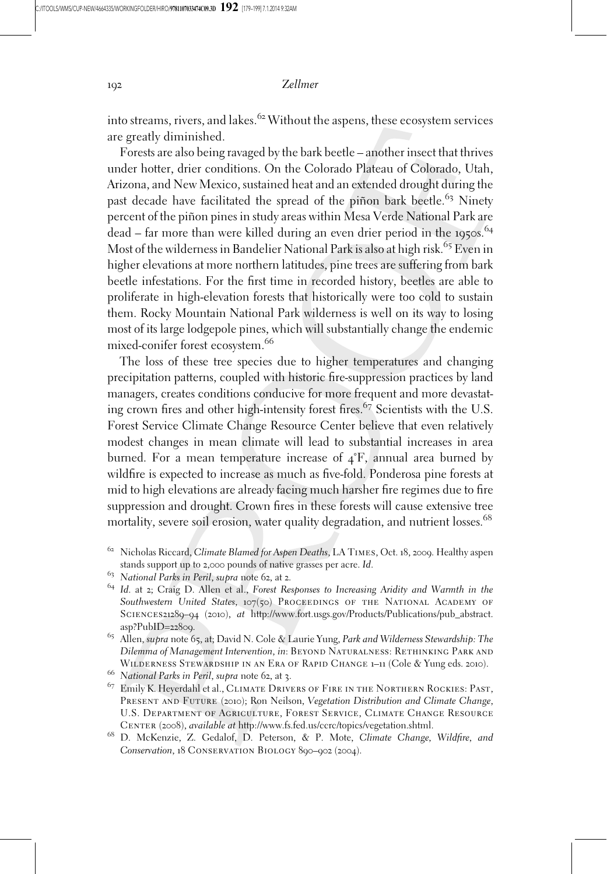into streams, rivers, and lakes.<sup> $62$ </sup> Without the aspens, these ecosystem services are greatly diminished.

Forests are also being ravaged by the bark beetle – another insect that thrives under hotter, drier conditions. On the Colorado Plateau of Colorado, Utah, Arizona, and New Mexico, sustained heat and an extended drought during the past decade have facilitated the spread of the piñon bark beetle.<sup>63</sup> Ninety percent of the piñon pines in study areas within Mesa Verde National Park are  $dead$  – far more than were killed during an even drier period in the 1950s.<sup>64</sup> Most of the wilderness in Bandelier National Park is also at high risk.<sup>65</sup> Even in higher elevations at more northern latitudes, pine trees are suffering from bark beetle infestations. For the first time in recorded history, beetles are able to proliferate in high-elevation forests that historically were too cold to sustain them. Rocky Mountain National Park wilderness is well on its way to losing most of its large lodgepole pines, which will substantially change the endemic mixed-conifer forest ecosystem.<sup>66</sup>

The loss of these tree species due to higher temperatures and changing precipitation patterns, coupled with historic fire-suppression practices by land managers, creates conditions conducive for more frequent and more devastating crown fires and other high-intensity forest fires.<sup>67</sup> Scientists with the U.S. Forest Service Climate Change Resource Center believe that even relatively modest changes in mean climate will lead to substantial increases in area burned. For a mean temperature increase of  $4\textdegree F$ , annual area burned by wildfire is expected to increase as much as five-fold. Ponderosa pine forests at mid to high elevations are already facing much harsher fire regimes due to fire suppression and drought. Crown fires in these forests will cause extensive tree mortality, severe soil erosion, water quality degradation, and nutrient losses.<sup>68</sup>

Center (2008), available at http://www.fs.fed.us/ccrc/topics/vegetation.shtml. <sup>68</sup> D. McKenzie, Z. Gedalof, D. Peterson, & P. Mote, Climate Change, Wildfire, and Conservation, 18 Conservation Biology 890–902 (2004).

<sup>&</sup>lt;sup>62</sup> Nicholas Riccard, Climate Blamed for Aspen Deaths, LA TIMES, Oct. 18, 2009. Healthy aspen stands support up to 2,000 pounds of native grasses per acre. Id.<br><sup>63</sup> National Parks in Peril, su*pra* note 62, at 2.<br><sup>64</sup> Id. at 2; Craig D. Allen et al., Forest Responses to Increasing Aridity and Warmth in the

Southwestern United States, 107(50) PROCEEDINGS OF THE NATIONAL ACADEMY OF SCIENCES21289–94 (2010),  $at$  http://www.fort.usgs.gov/Products/Publications/pub\_abstract.<br>asp?PubID=22809.

<sup>&</sup>lt;sup>65</sup> Allen, supra note 65, at; David N. Cole & Laurie Yung, Park and Wilderness Stewardship: The Dilemma of Management Intervention, in: BEYOND NATURALNESS: RETHINKING PARK AND<br>WILDERNESS STEWARDSHIP IN AN ERA OF RAPID CHANGE 1-11 (Cole & Yung eds. 2010).

<sup>&</sup>lt;sup>66</sup> N*ational Parks in Peril, supra* note 62, at 3.<br><sup>67</sup> Emily K. Heyerdahl et al., CLIMATE DRIVERS OF FIRE IN THE NORTHERN ROCKIES: PAST, PRESENT AND FUTURE (2010); Ron Neilson, Vegetation Distribution and Climate Change, U.S. Department of Agriculture, Forest Service, Climate Change Resource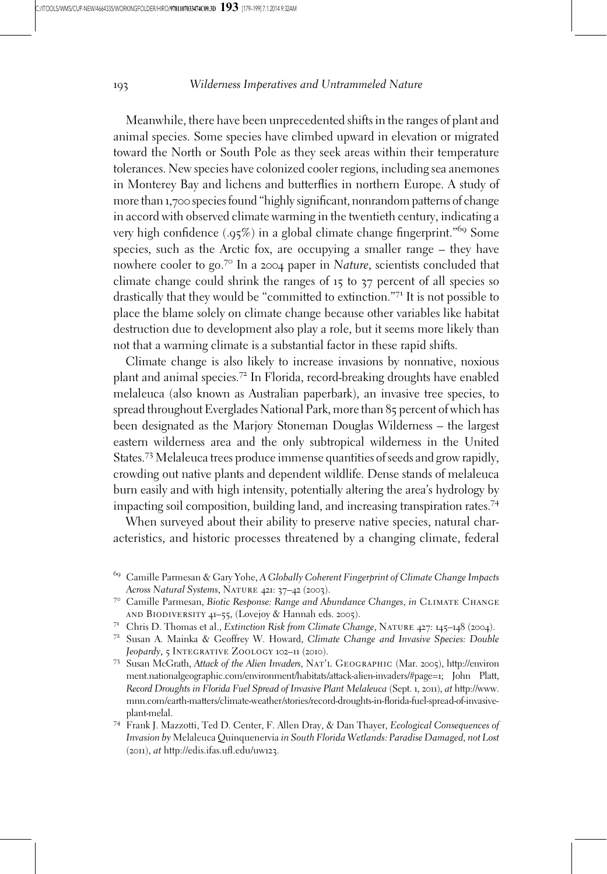Meanwhile, there have been unprecedented shifts in the ranges of plant and animal species. Some species have climbed upward in elevation or migrated toward the North or South Pole as they seek areas within their temperature tolerances. New species have colonized cooler regions, including sea anemones in Monterey Bay and lichens and butterflies in northern Europe. A study of more than 1,700 species found "highly significant, nonrandom patterns of change in accord with observed climate warming in the twentieth century, indicating a very high confidence  $(.95%)$  in a global climate change fingerprint.<sup>"69</sup> Some species, such as the Arctic fox, are occupying a smaller range – they have nowhere cooler to go.<sup>70</sup> In a 2004 paper in Nature, scientists concluded that climate change could shrink the ranges of 15 to 37 percent of all species so drastically that they would be "committed to extinction."<sup>71</sup> It is not possible to place the blame solely on climate change because other variables like habitat destruction due to development also play a role, but it seems more likely than not that a warming climate is a substantial factor in these rapid shifts.

Climate change is also likely to increase invasions by nonnative, noxious plant and animal species.<sup>72</sup> In Florida, record-breaking droughts have enabled melaleuca (also known as Australian paperbark), an invasive tree species, to spread throughout Everglades National Park, more than 85 percent of which has been designated as the Marjory Stoneman Douglas Wilderness – the largest eastern wilderness area and the only subtropical wilderness in the United States.<sup>73</sup> Melaleuca trees produce immense quantities of seeds and grow rapidly, crowding out native plants and dependent wildlife. Dense stands of melaleuca burn easily and with high intensity, potentially altering the area's hydrology by impacting soil composition, building land, and increasing transpiration rates.<sup>74</sup>

When surveyed about their ability to preserve native species, natural characteristics, and historic processes threatened by a changing climate, federal

- ment.nationalgeographic.com/environment/habitats/attack-alien-invaders/#page=1; John Platt, Record Droughts in Florida Fuel Spread of Invasive Plant Melaleuca (Sept. 1, 2011), at http://www. mnn.com/earth-matters/climate-weather/stories/record-droughts-in-florida-fuel-spread-of-invasiveplant-melal.<br><sup>74</sup> Frank J. Mazzotti, Ted D. Center, F. Allen Dray, & Dan Thayer, *Ecological Consequences of*
- Invasion by Melaleuca Quinquenervia in South Florida Wetlands: Paradise Damaged, not Lost (2011), at http://edis.ifas.ufl.edu/uw123.

 $^{69}$  Camille Parmesan & Gary Yohe, A Globally Coherent Fingerprint of Climate Change Impacts Across Natural Systems, NATURE 421: 37–42 (2003).<br><sup>70</sup> Camille Parmesan, Biotic Response: Range and Abundance Changes, in CLIMATE CHANGE

AND BIODIVERSITY 41–55, (Lovejoy & Hannah eds. 2005).<br><sup>71</sup> Chris D. Thomas et al., *Extinction Risk from Climate Change*, NATURE 427: 145–148 (2004).<br><sup>72</sup> Susan A. Mainka & Geoffrey W. Howard, *Climate Change and Invasive* 

Jeopardy, 5 Integrative Zoology 102–<sup>11</sup> (2010). <sup>73</sup> Susan McGrath, Attack of the Alien Invaders, Nat'l Geographic (Mar. <sup>2005</sup>), http://environ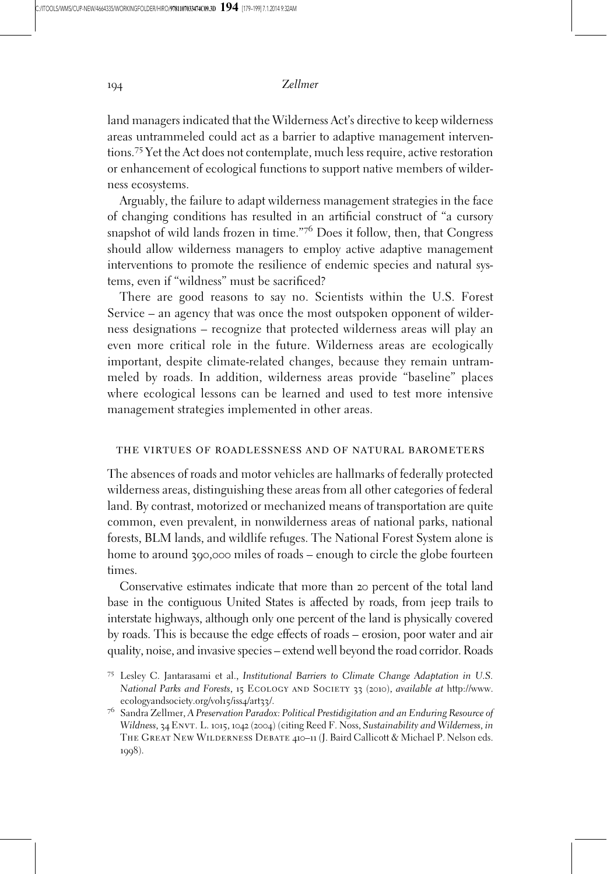land managers indicated that the Wilderness Act's directive to keep wilderness areas untrammeled could act as a barrier to adaptive management interventions.<sup>75</sup> Yet the Act does not contemplate, much less require, active restoration or enhancement of ecological functions to support native members of wilderness ecosystems.

Arguably, the failure to adapt wilderness management strategies in the face of changing conditions has resulted in an artificial construct of "a cursory snapshot of wild lands frozen in time."7<sup>6</sup> Does it follow, then, that Congress should allow wilderness managers to employ active adaptive management interventions to promote the resilience of endemic species and natural systems, even if "wildness" must be sacrificed?

There are good reasons to say no. Scientists within the U.S. Forest Service – an agency that was once the most outspoken opponent of wilderness designations – recognize that protected wilderness areas will play an even more critical role in the future. Wilderness areas are ecologically important, despite climate-related changes, because they remain untrammeled by roads. In addition, wilderness areas provide "baseline" places where ecological lessons can be learned and used to test more intensive management strategies implemented in other areas.

#### the virtues of roadlessness and of natural barometers

The absences of roads and motor vehicles are hallmarks of federally protected wilderness areas, distinguishing these areas from all other categories of federal land. By contrast, motorized or mechanized means of transportation are quite common, even prevalent, in nonwilderness areas of national parks, national forests, BLM lands, and wildlife refuges. The National Forest System alone is home to around 390,000 miles of roads – enough to circle the globe fourteen times.

Conservative estimates indicate that more than 20 percent of the total land base in the contiguous United States is affected by roads, from jeep trails to interstate highways, although only one percent of the land is physically covered by roads. This is because the edge effects of roads – erosion, poor water and air quality, noise, and invasive species – extend well beyond the road corridor. Roads

<sup>75</sup> Lesley C. Jantarasami et al., Institutional Barriers to Climate Change Adaptation in U.S. National Parks and Forests, 15 ECOLOGY AND SOCIETY 33 (2010), available at http://www. ecologyandsociety.org/vol15/iss4/art33/.

 $7^6$  Sandra Zellmer, A Preservation Paradox: Political Prestidigitation and an Enduring Resource of Wildness, 34 ENVT. L. 1015, 1042 (2004) (citing Reed F. Noss, Sustainability and Wilderness, in The Great New Wilderness Debate 410–11 (J. Baird Callicott & Michael P. Nelson eds. 1998).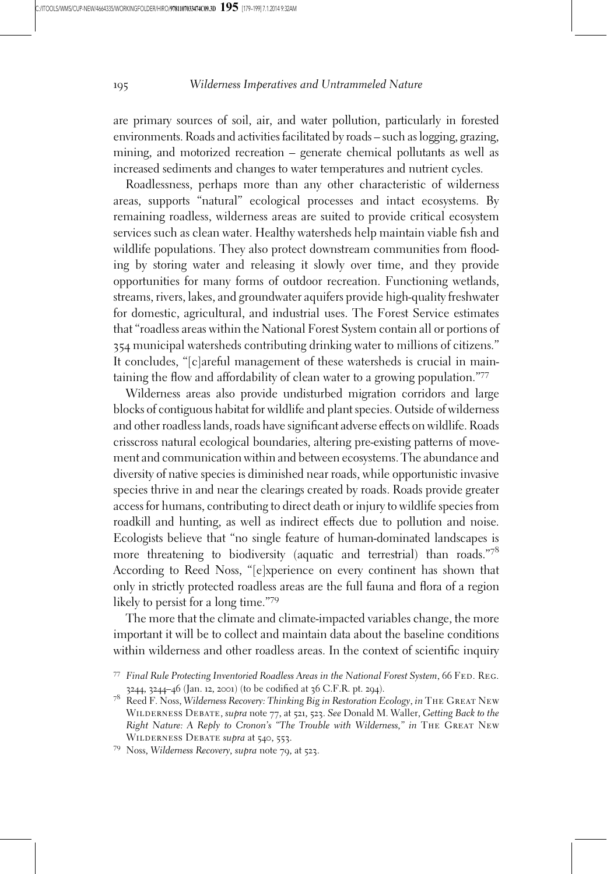are primary sources of soil, air, and water pollution, particularly in forested environments. Roads and activities facilitated by roads – such as logging, grazing, mining, and motorized recreation – generate chemical pollutants as well as increased sediments and changes to water temperatures and nutrient cycles.

Roadlessness, perhaps more than any other characteristic of wilderness areas, supports "natural" ecological processes and intact ecosystems. By remaining roadless, wilderness areas are suited to provide critical ecosystem services such as clean water. Healthy watersheds help maintain viable fish and wildlife populations. They also protect downstream communities from flooding by storing water and releasing it slowly over time, and they provide opportunities for many forms of outdoor recreation. Functioning wetlands, streams, rivers, lakes, and groundwater aquifers provide high-quality freshwater for domestic, agricultural, and industrial uses. The Forest Service estimates that "roadless areas within the National Forest System contain all or portions of 354 municipal watersheds contributing drinking water to millions of citizens." It concludes, "[c]areful management of these watersheds is crucial in maintaining the flow and affordability of clean water to a growing population."<sup>77</sup>

Wilderness areas also provide undisturbed migration corridors and large blocks of contiguous habitat for wildlife and plant species. Outside of wilderness and other roadless lands, roads have significant adverse effects on wildlife. Roads crisscross natural ecological boundaries, altering pre-existing patterns of movement and communication within and between ecosystems. The abundance and diversity of native species is diminished near roads, while opportunistic invasive species thrive in and near the clearings created by roads. Roads provide greater access for humans, contributing to direct death or injury to wildlife species from roadkill and hunting, as well as indirect effects due to pollution and noise. Ecologists believe that "no single feature of human-dominated landscapes is more threatening to biodiversity (aquatic and terrestrial) than roads."78 According to Reed Noss, "[e]xperience on every continent has shown that only in strictly protected roadless areas are the full fauna and flora of a region likely to persist for a long time."<sup>79</sup>

The more that the climate and climate-impacted variables change, the more important it will be to collect and maintain data about the baseline conditions within wilderness and other roadless areas. In the context of scientific inquiry

<sup>77</sup> Final Rule Protecting Inventoried Roadless Areas in the National Forest System, 66 FED. REG. 3244, 3244–46 (Jan. 12, 2001) (to be codified at 36 C.F.R. pt. 294).

<sup>78</sup> Reed F. Noss, Wilderness Recovery: Thinking Big in Restoration Ecology, in The Great New WILDERNESS DEBATE, supra note 77, at 521, 523. See Donald M. Waller, Getting Back to the Right Nature: A Reply to Cronon's "The Trouble with Wilderness," in The Great New WILDERNESS DEBATE supra at 540, 553.<br><sup>79</sup> Noss, Wilderness Recovery, supra note 79, at 523.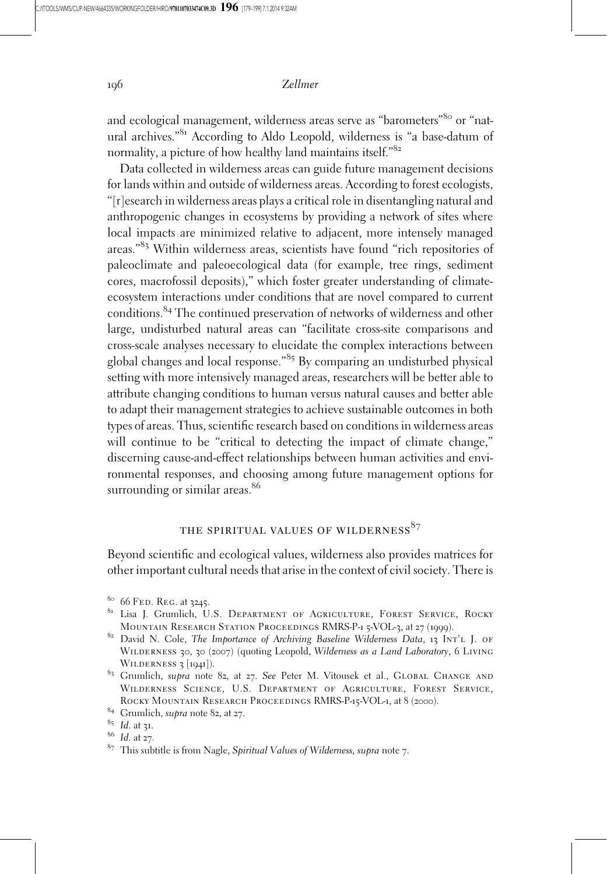and ecological management, wilderness areas serve as "barometers"<sup>80</sup> or "natural archives."<sup>81</sup> According to Aldo Leopold, wilderness is "a base-datum of normality, a picture of how healthy land maintains itself."<sup>82</sup>

Data collected in wilderness areas can guide future management decisions for lands within and outside of wilderness areas. According to forest ecologists, "[r]esearch in wilderness areas plays a critical role in disentangling natural and anthropogenic changes in ecosystems by providing a network of sites where local impacts are minimized relative to adjacent, more intensely managed areas."<sup>83</sup> Within wilderness areas, scientists have found "rich repositories of paleoclimate and paleoecological data (for example, tree rings, sediment cores, macrofossil deposits)," which foster greater understanding of climateecosystem interactions under conditions that are novel compared to current conditions.<sup>84</sup> The continued preservation of networks of wilderness and other large, undisturbed natural areas can "facilitate cross-site comparisons and cross-scale analyses necessary to elucidate the complex interactions between global changes and local response."<sup>85</sup> By comparing an undisturbed physical setting with more intensively managed areas, researchers will be better able to attribute changing conditions to human versus natural causes and better able to adapt their management strategies to achieve sustainable outcomes in both types of areas. Thus, scientific research based on conditions in wilderness areas will continue to be "critical to detecting the impact of climate change," discerning cause-and-effect relationships between human activities and environmental responses, and choosing among future management options for surrounding or similar areas.<sup>86</sup>

## THE SPIRITUAL VALUES OF WILDERNESS<sup>87</sup>

Beyond scientific and ecological values, wilderness also provides matrices for other important cultural needs that arise in the context of civil society. There is

<sup>&</sup>lt;sup>80</sup> 66 Fed. Reg. at 3245.<br><sup>81</sup> Lisa J. Grumlich, U.S. Department of Agriculture, Forest Service, Rocky<br>Mountain Research Station Proceedings RMRS-P-1 5-VOL-3, at 27 (1999).

<sup>&</sup>lt;sup>82</sup> David N. Cole, The Importance of Archiving Baseline Wilderness Data, 13 INT'L J. OF WILDERNESS 30, 30 (2007) (quoting Leopold, Wilderness as a Land Laboratory, 6 LIVING WILDERNESS 3 [1941]).

<sup>83</sup> Grumlich, supra note 82, at 27. See Peter M. Vitousek et al., GLOBAL CHANGE AND Wilderness Science, U.S. Department of Agriculture, Forest Service, ROCKY MOUNTAIN RESEARCH PROCEEDINGS RMRS-P-15-VOL-1, at 8 (2000).<br><sup>84</sup> Grumlich, *supra* note 82, at 27.

<sup>&</sup>lt;sup>85</sup> Id. at 31.<br><sup>86</sup> Id. at 27.<br><sup>87</sup> This subtitle is from Nagle, *Spiritual Values of Wilderness, supra* note 7.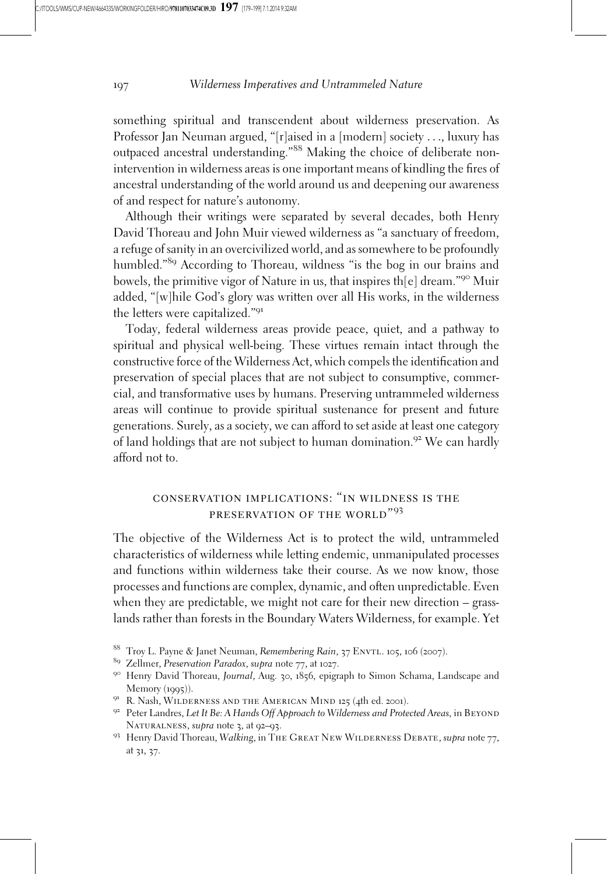something spiritual and transcendent about wilderness preservation. As Professor Jan Neuman argued, "[r]aised in a [modern] society ..., luxury has outpaced ancestral understanding."<sup>88</sup> Making the choice of deliberate nonintervention in wilderness areas is one important means of kindling the fires of ancestral understanding of the world around us and deepening our awareness of and respect for nature's autonomy.

Although their writings were separated by several decades, both Henry David Thoreau and John Muir viewed wilderness as "a sanctuary of freedom, a refuge of sanity in an overcivilized world, and as somewhere to be profoundly humbled."<sup>89</sup> According to Thoreau, wildness "is the bog in our brains and bowels, the primitive vigor of Nature in us, that inspires th[e] dream."<sup>90</sup> Muir added, "[w]hile God's glory was written over all His works, in the wilderness the letters were capitalized."<sup>91</sup>

Today, federal wilderness areas provide peace, quiet, and a pathway to spiritual and physical well-being. These virtues remain intact through the constructive force of the Wilderness Act, which compels the identification and preservation of special places that are not subject to consumptive, commercial, and transformative uses by humans. Preserving untrammeled wilderness areas will continue to provide spiritual sustenance for present and future generations. Surely, as a society, we can afford to set aside at least one category of land holdings that are not subject to human domination.<sup>92</sup> We can hardly afford not to.

# conservation implications: "in wildness is the preservation of the world"<sup>93</sup>

The objective of the Wilderness Act is to protect the wild, untrammeled characteristics of wilderness while letting endemic, unmanipulated processes and functions within wilderness take their course. As we now know, those processes and functions are complex, dynamic, and often unpredictable. Even when they are predictable, we might not care for their new direction – grasslands rather than forests in the Boundary Waters Wilderness, for example. Yet

<sup>&</sup>lt;sup>88</sup> Troy L. Payne & Janet Neuman, *Remembering Rain*, 37 ENVTL. 105, 106 (2007).<br><sup>89</sup> Zellmer, *Preservation Paradox*, *supra* note 77, at 1027.

<sup>&</sup>lt;sup>90</sup> Henry David Thoreau, Journal, Aug. 30, 1856, epigraph to Simon Schama, Landscape and Memory (1995)).<br><sup>91</sup> R. Nash, WILDERNESS AND THE AMERICAN MIND 125 (4th ed. 2001).<br><sup>92</sup> Peter Landres, *Let It Be: A Hands Off Approach to Wilderness and Protected Areas*, in BEYOND

NATURALNESS, supra note 3, at 92–93.<br><sup>93</sup> Henry David Thoreau, Walking, in The Great New WILDERNESS DEBATE, supra note 77,

at 31, 37.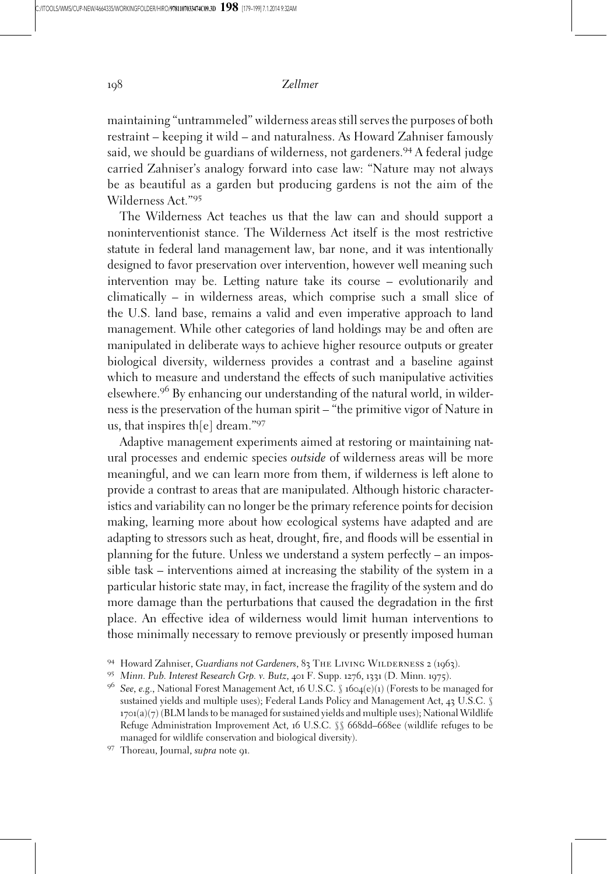maintaining "untrammeled" wilderness areas still serves the purposes of both restraint – keeping it wild – and naturalness. As Howard Zahniser famously said, we should be guardians of wilderness, not gardeners.<sup>94</sup> A federal judge carried Zahniser's analogy forward into case law: "Nature may not always be as beautiful as a garden but producing gardens is not the aim of the Wilderness Act."<sup>95</sup>

The Wilderness Act teaches us that the law can and should support a noninterventionist stance. The Wilderness Act itself is the most restrictive statute in federal land management law, bar none, and it was intentionally designed to favor preservation over intervention, however well meaning such intervention may be. Letting nature take its course – evolutionarily and climatically – in wilderness areas, which comprise such a small slice of the U.S. land base, remains a valid and even imperative approach to land management. While other categories of land holdings may be and often are manipulated in deliberate ways to achieve higher resource outputs or greater biological diversity, wilderness provides a contrast and a baseline against which to measure and understand the effects of such manipulative activities elsewhere.<sup>96</sup> By enhancing our understanding of the natural world, in wilderness is the preservation of the human spirit – "the primitive vigor of Nature in us, that inspires th[e] dream."<sup>97</sup>

Adaptive management experiments aimed at restoring or maintaining natural processes and endemic species outside of wilderness areas will be more meaningful, and we can learn more from them, if wilderness is left alone to provide a contrast to areas that are manipulated. Although historic characteristics and variability can no longer be the primary reference points for decision making, learning more about how ecological systems have adapted and are adapting to stressors such as heat, drought, fire, and floods will be essential in planning for the future. Unless we understand a system perfectly – an impossible task – interventions aimed at increasing the stability of the system in a particular historic state may, in fact, increase the fragility of the system and do more damage than the perturbations that caused the degradation in the first place. An effective idea of wilderness would limit human interventions to those minimally necessary to remove previously or presently imposed human

<sup>94</sup> Howard Zahniser, Guardians not Gardeners, 83 THE LIVING WILDERNESS 2 (1963).<br>95 Minn. Pub. Interest Research Grp. v. Butz, 401 F. Supp. 1276, 1331 (D. Minn. 1975).

<sup>96</sup> See, e.g., National Forest Management Act, <sup>16</sup> U.S.C. § <sup>1604</sup>(e)(1) (Forests to be managed for sustained yields and multiple uses); Federal Lands Policy and Management Act, 43 U.S.C. §  $1701(a)(7)$  (BLM lands to be managed for sustained yields and multiple uses); National Wildlife Refuge Administration Improvement Act, 16 U.S.C. §§ 668dd–668ee (wildlife refuges to be managed for wildlife conservation and biological diversity). 97 Thoreau, Journal, supra note 91.